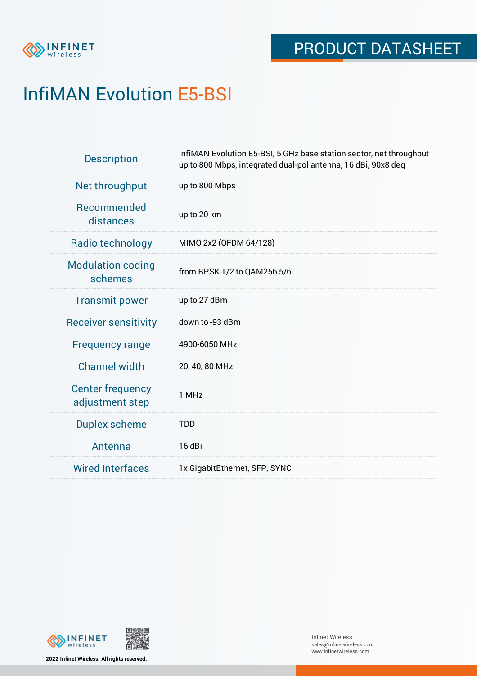

# InfiMAN Evolution E5-BSI

| <b>Description</b>                         | InfiMAN Evolution E5-BSI, 5 GHz base station sector, net throughput<br>up to 800 Mbps, integrated dual-pol antenna, 16 dBi, 90x8 deg |
|--------------------------------------------|--------------------------------------------------------------------------------------------------------------------------------------|
| Net throughput                             | up to 800 Mbps                                                                                                                       |
| <b>Recommended</b><br>distances            | up to 20 km                                                                                                                          |
| <b>Radio technology</b>                    | MIMO 2x2 (OFDM 64/128)                                                                                                               |
| <b>Modulation coding</b><br>schemes        | from BPSK 1/2 to QAM256 5/6                                                                                                          |
| <b>Transmit power</b>                      | up to 27 dBm                                                                                                                         |
| <b>Receiver sensitivity</b>                | down to -93 dBm                                                                                                                      |
| <b>Frequency range</b>                     | 4900-6050 MHz                                                                                                                        |
| <b>Channel width</b>                       | 20, 40, 80 MHz                                                                                                                       |
| <b>Center frequency</b><br>adjustment step | 1 MHz                                                                                                                                |
| <b>Duplex scheme</b>                       | <b>TDD</b>                                                                                                                           |
| Antenna                                    | 16 dBi                                                                                                                               |
| <b>Wired Interfaces</b>                    | 1x GigabitEthernet, SFP, SYNC                                                                                                        |

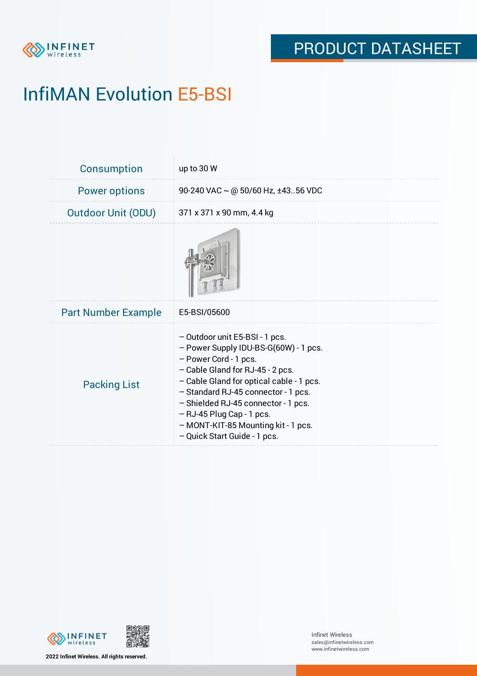

# InfiMAN Evolution E5-BSI

| <b>Consumption</b>         | up to 30 W                                                                                                                                                                                                                                                                                                                                                           |
|----------------------------|----------------------------------------------------------------------------------------------------------------------------------------------------------------------------------------------------------------------------------------------------------------------------------------------------------------------------------------------------------------------|
| <b>Power options</b>       | 90-240 VAC $\sim$ @ 50/60 Hz, ±4356 VDC                                                                                                                                                                                                                                                                                                                              |
| <b>Outdoor Unit (ODU)</b>  | 371 x 371 x 90 mm, 4.4 kg                                                                                                                                                                                                                                                                                                                                            |
|                            |                                                                                                                                                                                                                                                                                                                                                                      |
| <b>Part Number Example</b> | E5-BSI/05600                                                                                                                                                                                                                                                                                                                                                         |
| <b>Packing List</b>        | - Outdoor unit E5-BSI - 1 pcs.<br>- Power Supply IDU-BS-G(60W) - 1 pcs.<br>- Power Cord - 1 pcs.<br>- Cable Gland for RJ-45 - 2 pcs.<br>- Cable Gland for optical cable - 1 pcs.<br>- Standard RJ-45 connector - 1 pcs.<br>- Shielded RJ-45 connector - 1 pcs.<br>$-$ RJ-45 Plug Cap - 1 pcs.<br>- MONT-KIT-85 Mounting kit - 1 pcs.<br>- Quick Start Guide - 1 pcs. |





**2022 Infinet Wireless. All rights reserved.**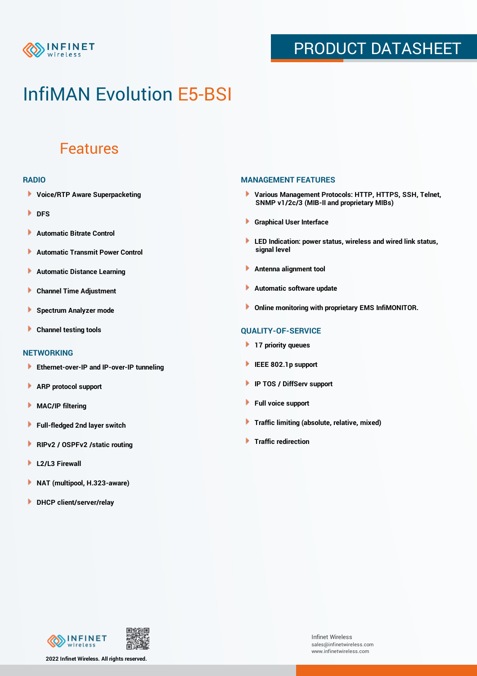

## PRODUCT DATASHEET

## InfiMAN Evolution E5-BSI

### Features

#### **RADIO**

- **Voice/RTP Aware Superpacketing**
- **DFS**
- **Automatic Bitrate Control** Þ
- Þ **Automatic Transmit Power Control**
- Þ **Automatic Distance Learning**
- Þ **Channel Time Adjustment**
- Þ **Spectrum Analyzer mode**
- Þ **Channel testing tools**

### **NETWORKING**

- **Ethernet-over-IP and IP-over-IP tunneling**
- Þ **ARP protocol support**
- **MAC/IP filtering** Þ
- **Full-fledged 2nd layer switch**
- Þ **RIPv2 / OSPFv2 /static routing**
- ٠ **L2/L3 Firewall**
- × **NAT (multipool, H.323-aware)**
- **DHCP client/server/relay**

### **MANAGEMENT FEATURES**

- **Various Management Protocols: HTTP, HTTPS, SSH, Telnet, SNMP v1/2c/3 (MIB-II and proprietary MIBs)**
- **Graphical User Interface**
- **LED Indication: power status, wireless and wired link status, signal level**
- **Antenna alignment tool**
- ٠ **Automatic software update**
- **Online monitoring with proprietary EMS InfiMONITOR.**

### **QUALITY-OF-SERVICE**

- **17 priority queues**
- **IEEE 802.1p support**
- **IP TOS / DiffServ support**
- ٠ **Full voice support**
- **Traffic limiting (absolute, relative, mixed)** ٠
- **Traffic redirection**